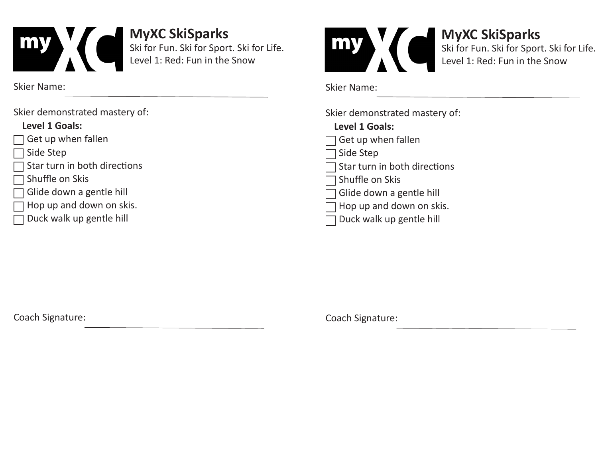

Skier Name:

Skier demonstrated mastery of:

### **Level 1 Goals:**

- Get up when fallen
- Side Step
- Star turn in both directions
- Shuffle on Skis
- Glide down a gentle hill
- Hop up and down on skis.
- Duck walk up gentle hill



**MyXC SkiSparks**  Ski for Fun. Ski for Sport. Ski for Life. Level 1: Red: Fun in the Snow

Skier Name:

Skier demonstrated mastery of:

## **Level 1 Goals:**   $\Box$  Get up when fallen Side Step Star turn in both directions Shuffle on Skis Glide down a gentle hill  $\exists$  Hop up and down on skis.

Duck walk up gentle hill

Coach Signature: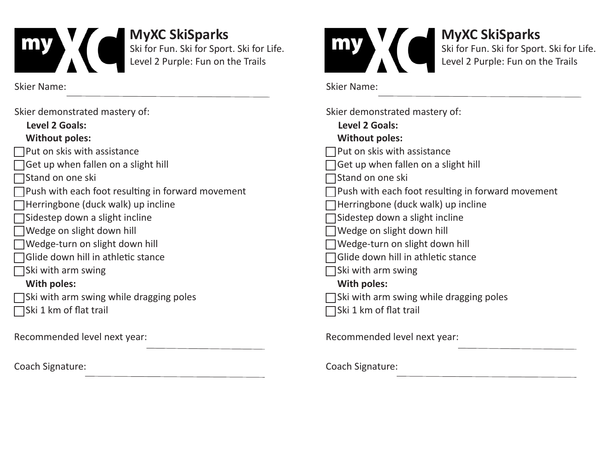

Skier Name:

| Skier demonstrated mastery of:                    |  |  |  |
|---------------------------------------------------|--|--|--|
| Level 2 Goals:                                    |  |  |  |
| <b>Without poles:</b>                             |  |  |  |
| Put on skis with assistance                       |  |  |  |
| Get up when fallen on a slight hill               |  |  |  |
| Stand on one ski                                  |  |  |  |
| Push with each foot resulting in forward movement |  |  |  |
| Herringbone (duck walk) up incline                |  |  |  |
| Sidestep down a slight incline                    |  |  |  |
| Wedge on slight down hill                         |  |  |  |
| Wedge-turn on slight down hill                    |  |  |  |
| Glide down hill in athletic stance                |  |  |  |
| Ski with arm swing                                |  |  |  |
| With poles:                                       |  |  |  |
| Ski with arm swing while dragging poles           |  |  |  |
| Ski 1 km of flat trail                            |  |  |  |
| Recommended level next year:                      |  |  |  |
|                                                   |  |  |  |

Coach Signature:



**MyXC SkiSparks** 

Ski for Fun. Ski for Sport. Ski for Life. Level 2 Purple: Fun on the Trails

Skier Name:

| Skier demonstrated mastery of:<br>Level 2 Goals:  |
|---------------------------------------------------|
| <b>Without poles:</b>                             |
| Put on skis with assistance                       |
| Get up when fallen on a slight hill               |
| Stand on one ski                                  |
| Push with each foot resulting in forward movement |
| Herringbone (duck walk) up incline                |
| Sidestep down a slight incline                    |
| Wedge on slight down hill                         |
| Wedge-turn on slight down hill                    |
| Glide down hill in athletic stance                |
| Ski with arm swing                                |
| With poles:                                       |
| Ski with arm swing while dragging poles           |
| Ski 1 km of flat trail                            |
| Recommended level next year:                      |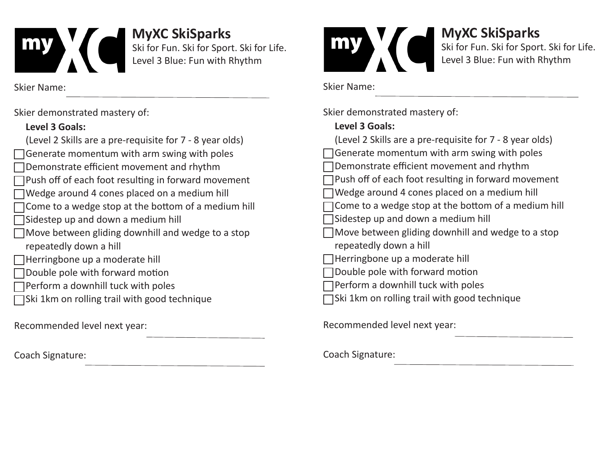

**MyXC SkiSparks**  Ski for Fun. Ski for Sport. Ski for Life. Level 3 Blue: Fun with Rhythm

Skier Name:

Skier demonstrated mastery of:

## **Level 3 Goals:**

| (Level 2 Skills are a pre-requisite for 7 - 8 year olds) |
|----------------------------------------------------------|
| Generate momentum with arm swing with poles              |
| Demonstrate efficient movement and rhythm                |
| □ Push off of each foot resulting in forward movement    |
| Wedge around 4 cones placed on a medium hill             |
| □ Come to a wedge stop at the bottom of a medium hill    |
| Sidestep up and down a medium hill                       |
| Move between gliding downhill and wedge to a stop        |
| repeatedly down a hill                                   |
| ⊤Herringbone up a moderate hill                          |
| Double pole with forward motion                          |
| Perform a downhill tuck with poles                       |
| JSki 1km on rolling trail with good technique            |
|                                                          |
| mmonded louel novt use                                   |

Recommended level next year:

Coach Signature:



# **MyXC SkiSparks**

Ski for Fun. Ski for Sport. Ski for Life. Level 3 Blue: Fun with Rhythm

Skier Name:

Skier demonstrated mastery of:

### **Level 3 Goals:**

| (Level 2 Skills are a pre-requisite for 7 - 8 year olds) |  |  |
|----------------------------------------------------------|--|--|
| Generate momentum with arm swing with poles              |  |  |
| Demonstrate efficient movement and rhythm                |  |  |
| Push off of each foot resulting in forward movement      |  |  |
| Wedge around 4 cones placed on a medium hill             |  |  |
| Come to a wedge stop at the bottom of a medium hill      |  |  |
| Sidestep up and down a medium hill                       |  |  |
| Move between gliding downhill and wedge to a stop        |  |  |
| repeatedly down a hill                                   |  |  |
| Herringbone up a moderate hill                           |  |  |
| Double pole with forward motion                          |  |  |
| Perform a downhill tuck with poles                       |  |  |
| Ski 1km on rolling trail with good technique             |  |  |
|                                                          |  |  |
| Recommended level next year:                             |  |  |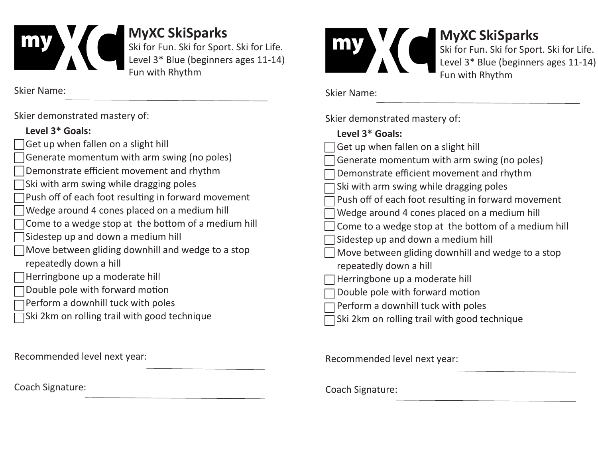

**MyXC SkiSparks** 

Ski for Fun. Ski for Sport. Ski for Life. Level 3\* Blue (beginners ages 11-14) Fun with Rhythm

Skier Name:

Skier demonstrated mastery of:

#### **Level 3\* Goals:**

| Get up when fallen on a slight hill                        |
|------------------------------------------------------------|
| Generate momentum with arm swing (no poles)                |
| Demonstrate efficient movement and rhythm                  |
| $\Box$ Ski with arm swing while dragging poles             |
| $\Box$ Push off of each foot resulting in forward movement |
| Wedge around 4 cones placed on a medium hill               |
| $\Box$ Come to a wedge stop at the bottom of a medium hill |
| Sidestep up and down a medium hill                         |
| $\Box$ Move between gliding downhill and wedge to a stop   |
| repeatedly down a hill                                     |
| Herringbone up a moderate hill                             |
| Double pole with forward motion                            |
| $\Box$ Perform a downhill tuck with poles                  |

Ski 2km on rolling trail with good technique

Recommended level next year:

Coach Signature:



# **MyXC SkiSparks**

Ski for Fun. Ski for Sport. Ski for Life. Level 3\* Blue (beginners ages 11-14) Fun with Rhythm

Skier Name:

Skier demonstrated mastery of:

### **Level 3\* Goals:**

| Get up when fallen on a slight hill                 |
|-----------------------------------------------------|
| Generate momentum with arm swing (no poles)         |
| Demonstrate efficient movement and rhythm           |
| Ski with arm swing while dragging poles             |
| Push off of each foot resulting in forward movement |
| Wedge around 4 cones placed on a medium hill        |
| Come to a wedge stop at the bottom of a medium hill |
| Sidestep up and down a medium hill                  |
| Move between gliding downhill and wedge to a stop   |
| repeatedly down a hill                              |
| Herringbone up a moderate hill                      |
| Double pole with forward motion                     |
| Perform a downhill tuck with poles                  |
| Ski 2km on rolling trail with good technique        |

Recommended level next year: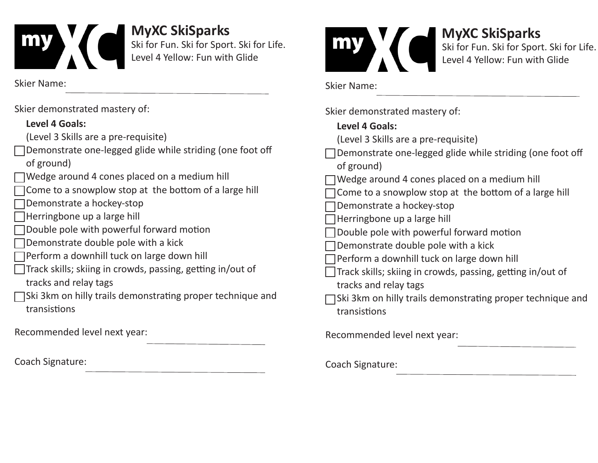

**MyXC SkiSparks**  Ski for Fun. Ski for Sport. Ski for Life. Level 4 Yellow: Fun with Glide

Skier Name:

| Skier demonstrated mastery of:                                                      | Skier demonstrated mastery of:                                                                                                                                                                                                                                                                                                                                                                                                                                       |  |
|-------------------------------------------------------------------------------------|----------------------------------------------------------------------------------------------------------------------------------------------------------------------------------------------------------------------------------------------------------------------------------------------------------------------------------------------------------------------------------------------------------------------------------------------------------------------|--|
| Level 4 Goals:                                                                      | <b>Level 4 Goals:</b>                                                                                                                                                                                                                                                                                                                                                                                                                                                |  |
| (Level 3 Skills are a pre-requisite)                                                | (Level 3 Skills are a pre-requisite)                                                                                                                                                                                                                                                                                                                                                                                                                                 |  |
| Demonstrate one-legged glide while striding (one foot off<br>of ground)             | Demonstrate one-legged glide while striding (one foot off<br>of ground)<br>Wedge around 4 cones placed on a medium hill<br>Come to a snowplow stop at the bottom of a large hill<br>Demonstrate a hockey-stop<br>Herringbone up a large hill<br>Double pole with powerful forward motion<br>Demonstrate double pole with a kick<br>Perform a downhill tuck on large down hill<br>Track skills; skiing in crowds, passing, getting in/out of<br>tracks and relay tags |  |
| Wedge around 4 cones placed on a medium hill                                        |                                                                                                                                                                                                                                                                                                                                                                                                                                                                      |  |
| Come to a snowplow stop at the bottom of a large hill                               |                                                                                                                                                                                                                                                                                                                                                                                                                                                                      |  |
| Demonstrate a hockey-stop                                                           |                                                                                                                                                                                                                                                                                                                                                                                                                                                                      |  |
| Herringbone up a large hill                                                         |                                                                                                                                                                                                                                                                                                                                                                                                                                                                      |  |
| Double pole with powerful forward motion                                            |                                                                                                                                                                                                                                                                                                                                                                                                                                                                      |  |
| Demonstrate double pole with a kick                                                 |                                                                                                                                                                                                                                                                                                                                                                                                                                                                      |  |
| Perform a downhill tuck on large down hill                                          |                                                                                                                                                                                                                                                                                                                                                                                                                                                                      |  |
| Track skills; skiing in crowds, passing, getting in/out of<br>tracks and relay tags |                                                                                                                                                                                                                                                                                                                                                                                                                                                                      |  |
| Ski 3km on hilly trails demonstrating proper technique and                          | JSki 3km on hilly trails demonstrating proper technique and                                                                                                                                                                                                                                                                                                                                                                                                          |  |
| transistions                                                                        | transistions                                                                                                                                                                                                                                                                                                                                                                                                                                                         |  |
| Recommended level next year:                                                        | Recommended level next year:                                                                                                                                                                                                                                                                                                                                                                                                                                         |  |
| Coach Signature:                                                                    | Coach Signature:                                                                                                                                                                                                                                                                                                                                                                                                                                                     |  |

Skier Name:

**MyXC SkiSparks** 

Ski for Fun. Ski for Sport. Ski for Life.

Level 4 Yellow: Fun with Glide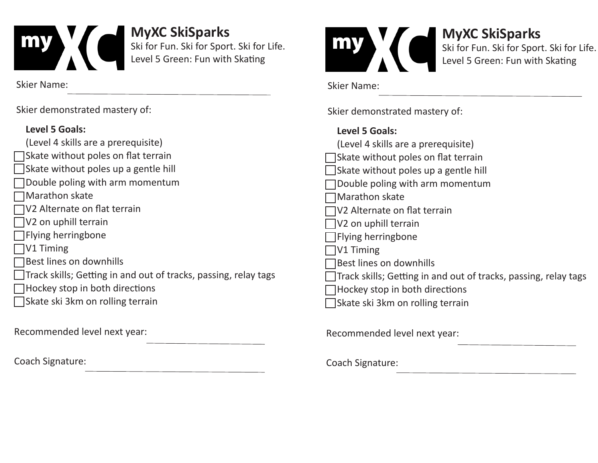

**MyXC SkiSparks**  Ski for Fun. Ski for Sport. Ski for Life. Level 5 Green: Fun with Skating

Skier Name:

Skier demonstrated mastery of:

## **Level 5 Goals:**

| (Level 4 skills are a prerequisite)        |  |
|--------------------------------------------|--|
| $\Box$ Skate without poles on flat terrain |  |
| Skate without poles up a gentle hill       |  |
| □ Double poling with arm momentum          |  |
| $\Box$ Marathon skate                      |  |
| $\Box$ V2 Alternate on flat terrain        |  |
| $\Box$ V2 on uphill terrain                |  |
| $\Box$ Flying herringbone                  |  |
| V1 Timing<br>I.                            |  |

Best lines on downhills

Track skills; Getting in and out of tracks, passing, relay tags

- $\Box$  Hockey stop in both directions
- **□Skate ski 3km on rolling terrain**

Recommended level next year:

Coach Signature:



# **MyXC SkiSparks**

Ski for Fun. Ski for Sport. Ski for Life. Level 5 Green: Fun with Skating

Skier Name:

Skier demonstrated mastery of:

### **Level 5 Goals:**

| (Level 4 skills are a prerequisite)                             |
|-----------------------------------------------------------------|
| Skate without poles on flat terrain                             |
| Skate without poles up a gentle hill                            |
| Double poling with arm momentum                                 |
| Marathon skate                                                  |
| V2 Alternate on flat terrain                                    |
| V <sub>2</sub> on uphill terrain                                |
| <b>Flying herringbone</b>                                       |
| V1 Timing                                                       |
| Best lines on downhills                                         |
| Track skills; Getting in and out of tracks, passing, relay tags |
| Hockey stop in both directions                                  |
| Skate ski 3km on rolling terrain                                |
|                                                                 |
| Recommended level next year:                                    |